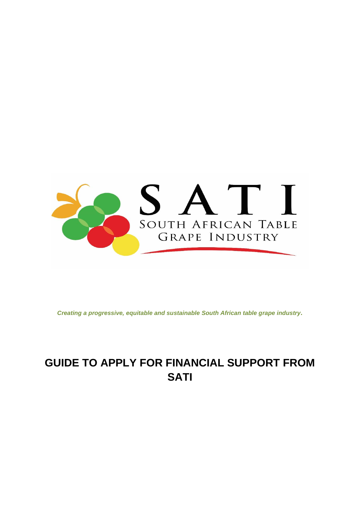

*Creating a progressive, equitable and sustainable South African table grape industry.*

# **GUIDE TO APPLY FOR FINANCIAL SUPPORT FROM SATI**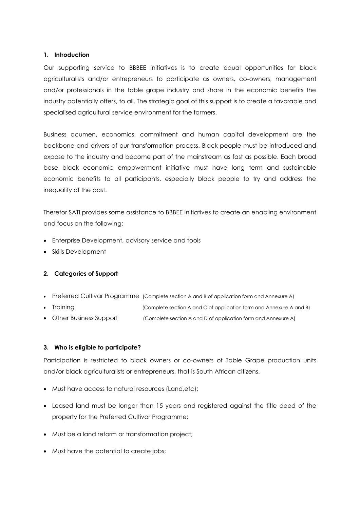## **1. Introduction**

Our supporting service to BBBEE initiatives is to create equal opportunities for black agriculturalists and/or entrepreneurs to participate as owners, co-owners, management and/or professionals in the table grape industry and share in the economic benefits the industry potentially offers, to all. The strategic goal of this support is to create a favorable and specialised agricultural service environment for the farmers.

Business acumen, economics, commitment and human capital development are the backbone and drivers of our transformation process. Black people must be introduced and expose to the industry and become part of the mainstream as fast as possible. Each broad base black economic empowerment initiative must have long term and sustainable economic benefits to all participants, especially black people to try and address the inequality of the past.

Therefor SATI provides some assistance to BBBEE initiatives to create an enabling environment and focus on the following:

- Enterprise Development, advisory service and tools
- Skills Development

## **2. Categories of Support**

- Preferred Cultivar Programme (Complete section A and B of application form and Annexure A)
- Training **the Complete section A and C of application form and Annexure A and B)**
- Other Business Support (Complete section A and D of application form and Annexure A)

## **3. Who is eligible to participate?**

Participation is restricted to black owners or co-owners of Table Grape production units and/or black agriculturalists or entrepreneurs, that is South African citizens.

- Must have access to natural resources (Land,etc);
- Leased land must be longer than 15 years and registered against the title deed of the property for the Preferred Cultivar Programme;
- Must be a land reform or transformation project;
- Must have the potential to create jobs;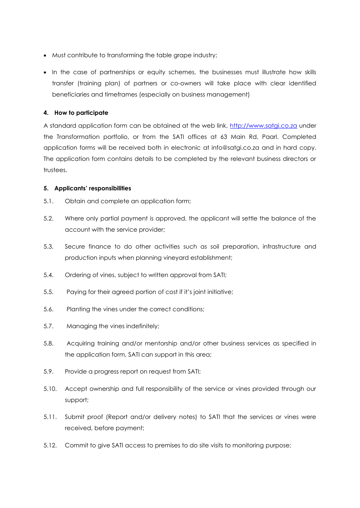- Must contribute to transforming the table grape industry;
- In the case of partnerships or equity schemes, the businesses must illustrate how skills transfer (training plan) of partners or co-owners will take place with clear identified beneficiaries and timeframes (especially on business management)

## **4. How to participate**

A standard application form can be obtained at the web link, [http://www.satgi.co.za](http://www.satgi.co.za/) under the Transformation portfolio, or from the SATI offices at 63 Main Rd, Paarl. Completed application forms will be received both in electronic at info@satgi.co.za and in hard copy. The application form contains details to be completed by the relevant business directors or trustees.

## **5. Applicants' responsibilities**

- 5.1. Obtain and complete an application form;
- 5.2. Where only partial payment is approved, the applicant will settle the balance of the account with the service provider;
- 5.3. Secure finance to do other activities such as soil preparation, infrastructure and production inputs when planning vineyard establishment;
- 5.4. Ordering of vines, subject to written approval from SATI;
- 5.5. Paying for their agreed portion of cost if it's joint initiative;
- 5.6. Planting the vines under the correct conditions;
- 5.7. Managing the vines indefinitely;
- 5.8. Acquiring training and/or mentorship and/or other business services as specified in the application form, SATI can support in this area;
- 5.9. Provide a progress report on request from SATI;
- 5.10. Accept ownership and full responsibility of the service or vines provided through our support;
- 5.11. Submit proof (Report and/or delivery notes) to SATI that the services or vines were received, before payment;
- 5.12. Commit to give SATI access to premises to do site visits to monitoring purpose;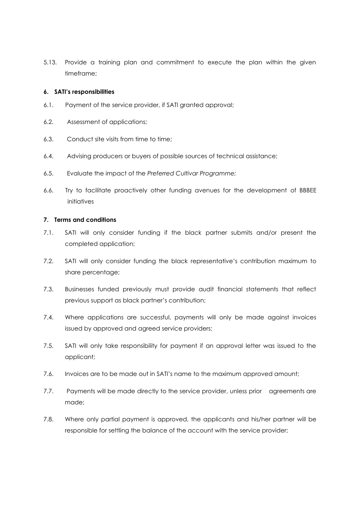5.13. Provide a training plan and commitment to execute the plan within the given timeframe;

## **6. SATI's responsibilities**

- 6.1. Payment of the service provider, if SATI granted approval;
- 6.2. Assessment of applications;
- 6.3. Conduct site visits from time to time;
- 6.4. Advising producers or buyers of possible sources of technical assistance;
- 6.5. Evaluate the impact of the *Preferred Cultivar Programme;*
- 6.6. Try to facilitate proactively other funding avenues for the development of BBBEE initiatives

#### **7. Terms and conditions**

- 7.1. SATI will only consider funding if the black partner submits and/or present the completed application;
- 7.2. SATI will only consider funding the black representative's contribution maximum to share percentage;
- 7.3. Businesses funded previously must provide audit financial statements that reflect previous support as black partner's contribution;
- 7.4. Where applications are successful, payments will only be made against invoices issued by approved and agreed service providers;
- 7.5. SATI will only take responsibility for payment if an approval letter was issued to the applicant;
- 7.6. Invoices are to be made out in SATI's name to the maximum approved amount;
- 7.7. Payments will be made directly to the service provider, unless prior agreements are made;
- 7.8. Where only partial payment is approved, the applicants and his/her partner will be responsible for settling the balance of the account with the service provider;